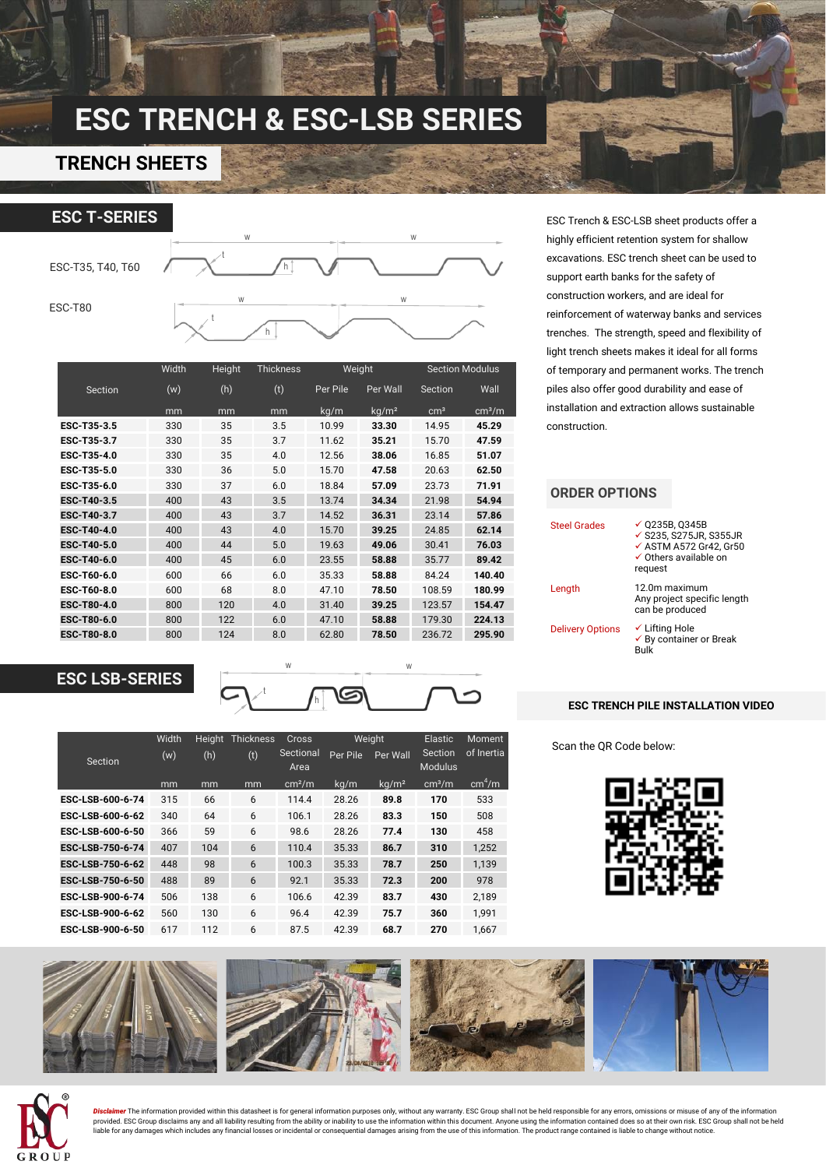# **ESC TRENCH & ESC-LSB SERIES**

### **TRENCH SHEETS**



|             | Width | Height | <b>Thickness</b> | Weight   |                   | <b>Section Modulus</b> |                    |  |
|-------------|-------|--------|------------------|----------|-------------------|------------------------|--------------------|--|
| Section     | (w)   | (h)    | (t)              | Per Pile | Per Wall          | Section                | Wall               |  |
|             | mm    | mm     | mm               | kg/m     | kg/m <sup>2</sup> | cm <sup>3</sup>        | cm <sup>3</sup> /m |  |
| ESC-T35-3.5 | 330   | 35     | 3.5              | 10.99    | 33.30             | 14.95                  | 45.29              |  |
| ESC-T35-3.7 | 330   | 35     | 3.7              | 11.62    | 35.21             | 15.70                  | 47.59              |  |
| ESC-T35-4.0 | 330   | 35     | 4.0              | 12.56    | 38.06             | 16.85                  | 51.07              |  |
| ESC-T35-5.0 | 330   | 36     | 5.0              | 15.70    | 47.58             | 20.63                  | 62.50              |  |
| ESC-T35-6.0 | 330   | 37     | 6.0              | 18.84    | 57.09             | 23.73                  | 71.91              |  |
| ESC-T40-3.5 | 400   | 43     | 3.5              | 13.74    | 34.34             | 21.98                  | 54.94              |  |
| ESC-T40-3.7 | 400   | 43     | 3.7              | 14.52    | 36.31             | 23.14                  | 57.86              |  |
| ESC-T40-4.0 | 400   | 43     | 4.0              | 15.70    | 39.25             | 24.85                  | 62.14              |  |
| ESC-T40-5.0 | 400   | 44     | 5.0              | 19.63    | 49.06             | 30.41                  | 76.03              |  |
| ESC-T40-6.0 | 400   | 45     | 6.0              | 23.55    | 58.88             | 35.77                  | 89.42              |  |
| ESC-T60-6.0 | 600   | 66     | 6.0              | 35.33    | 58.88             | 84.24                  | 140.40             |  |
| ESC-T60-8.0 | 600   | 68     | 8.0              | 47.10    | 78.50             | 108.59                 | 180.99             |  |
| ESC-T80-4.0 | 800   | 120    | 4.0              | 31.40    | 39.25             | 123.57                 | 154.47             |  |
| ESC-T80-6.0 | 800   | 122    | 6.0              | 47.10    | 58.88             | 179.30                 | 224.13             |  |
| ESC-T80-8.0 | 800   | 124    | 8.0              | 62.80    | 78.50             | 236.72                 | 295.90             |  |

### **ESC LSB-SERIES**



|                  | Width | Thickness<br>Height |     | Cross              | Weight   |                   | Elastic                   | <b>Moment</b>      |
|------------------|-------|---------------------|-----|--------------------|----------|-------------------|---------------------------|--------------------|
| Section          | (w)   | (h)                 | (t) | Sectional<br>Area  | Per Pile | Per Wall          | Section<br><b>Modulus</b> | of Inertia         |
|                  | mm    | mm                  | mm  | cm <sup>2</sup> /m | kg/m     | kg/m <sup>2</sup> | cm <sup>3</sup> /m        | cm <sup>4</sup> /m |
| ESC-LSB-600-6-74 | 315   | 66                  | 6   | 114.4              | 28.26    | 89.8              | 170                       | 533                |
| ESC-LSB-600-6-62 | 340   | 64                  | 6   | 106.1              | 28.26    | 83.3              | 150                       | 508                |
| ESC-LSB-600-6-50 | 366   | 59                  | 6   | 98.6               | 28.26    | 77.4              | 130                       | 458                |
| ESC-LSB-750-6-74 | 407   | 104                 | 6   | 110.4              | 35.33    | 86.7              | 310                       | 1.252              |
| ESC-LSB-750-6-62 | 448   | 98                  | 6   | 100.3              | 35.33    | 78.7              | 250                       | 1.139              |
| ESC-LSB-750-6-50 | 488   | 89                  | 6   | 92.1               | 35.33    | 72.3              | 200                       | 978                |
| ESC-LSB-900-6-74 | 506   | 138                 | 6   | 106.6              | 42.39    | 83.7              | 430                       | 2.189              |
| ESC-LSB-900-6-62 | 560   | 130                 | 6   | 96.4               | 42.39    | 75.7              | 360                       | 1.991              |
| ESC-LSB-900-6-50 | 617   | 112                 | 6   | 87.5               | 42.39    | 68.7              | 270                       | 1.667              |

ESC Trench & ESC-LSB sheet products offer a highly efficient retention system for shallow excavations. ESC trench sheet can be used to support earth banks for the safety of construction workers, and are ideal for reinforcement of waterway banks and services trenches. The strength, speed and flexibility of light trench sheets makes it ideal for all forms of temporary and permanent works. The trench piles also offer good durability and ease of installation and extraction allows sustainable construction.

### **ORDER OPTIONS**

| <b>Steel Grades</b>     | $\checkmark$ Q235B, Q345B<br>✔ S235, S275JR, S355JR<br>✔ ASTM A572 Gr42, Gr50<br>$\checkmark$ Others available on<br>request |
|-------------------------|------------------------------------------------------------------------------------------------------------------------------|
| Length                  | 12.0m maximum<br>Any project specific length<br>can be produced                                                              |
| <b>Delivery Options</b> | $\checkmark$ Lifting Hole<br>$\checkmark$ By container or Break<br>Bulk                                                      |

#### **ESC TRENCH PILE INSTALLATION VIDEO**

Scan the QR Code below:







<mark>Disclaimer</mark> The information provided within this datasheet is for general information purposes only, without any warranty. ESC Group shall not be held responsible for any errors, omissions or misuse of any of the informat liable for any damages which includes any financial losses or incidental or consequential damages arising from the use of this information. The product range contained is liable to change without notice.

w w